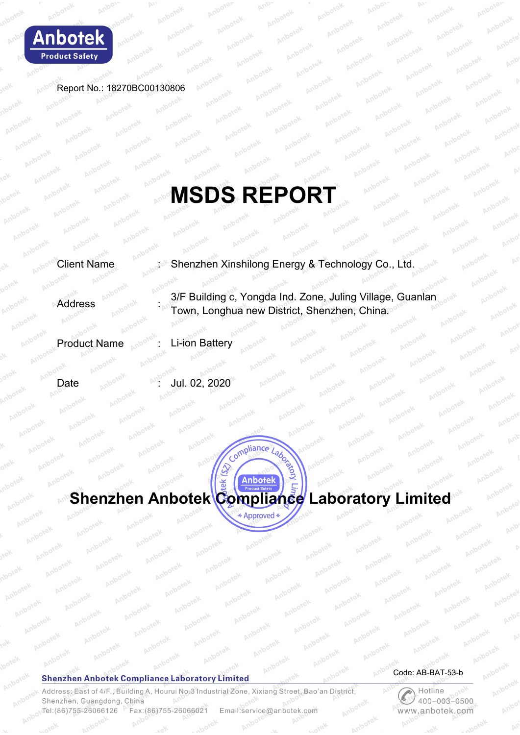

Anboy

Report No.: 18270BC00130806

# **MSDS REPORT**

Client Name : Shenzhen Xinshilong Energy & Technology Co., Ltd.

**Address** 3/F Building c, Yongda Ind. Zone, Juling Village, Guanlan Town, Longhua new District, Shenzhen, China.

Product Name : Li-ion Battery

Date  $\frac{1}{200}$  and  $\frac{1}{200}$  Jul. 02, 2020



#### **Shenzhen Anbotek Compliance Laboratory Limited**

Address: East of 4/F., Building A, Hourui No. 3 Industrial Zone, Xixiang Street, Bao'an District, Shenzhen, Guangdong, China Tel: (86) 755-26066126 Fax: (86) 755-26066021 Email:service@anbotek.com

Code: AB-BAT-53-b

**Plue**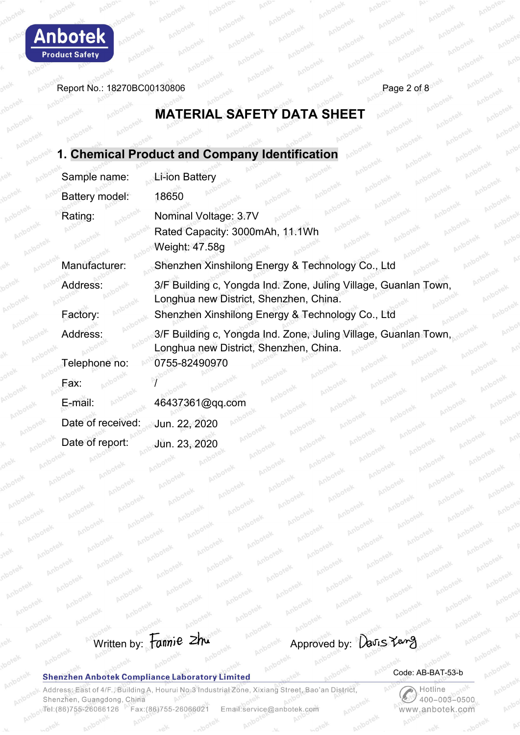

Report No.: 18270BC00130806 Page 2 of 8

# **MATERIAL SAFETY DATA SHEET**

|                   | 1. Chemical Product and Company Identification                                                            |
|-------------------|-----------------------------------------------------------------------------------------------------------|
| Sample name:      | <b>Li-ion Battery</b>                                                                                     |
| Battery model:    | 18650                                                                                                     |
| Rating:           | Nominal Voltage: 3.7V<br>Rated Capacity: 3000mAh, 11.1Wh<br>Weight: 47.58g                                |
| Manufacturer:     | Shenzhen Xinshilong Energy & Technology Co., Ltd                                                          |
| Address:          | 3/F Building c, Yongda Ind. Zone, Juling Village, Guanlan Town,<br>Longhua new District, Shenzhen, China. |
| Factory:          | Shenzhen Xinshilong Energy & Technology Co., Ltd                                                          |
| Address:          | 3/F Building c, Yongda Ind. Zone, Juling Village, Guanlan Town,<br>Longhua new District, Shenzhen, China. |
| Telephone no:     | 0755-82490970                                                                                             |
| Fax:              |                                                                                                           |
| E-mail:           | 46437361@qq.com                                                                                           |
| Date of received: | Jun. 22, 2020                                                                                             |
| Date of report:   | Jun. 23, 2020                                                                                             |
|                   |                                                                                                           |

# Written by: Fannie zhu

#### **Shenzhen Anbotek Compliance Laboratory Limited**

#### Code: AB-BAT-53-b

Address: East of 4/F., Building A, Hourui No.3 Industrial Zone, Xixiang Street, Bao'an District, Shenzhen, Guangdong, China Tel: (86) 755-26066126 Fax:(86)755-26066021 Email:service@anbotek.com

 $P_{\mathcal{L}}$ Hotline  $400 - 003 - 0500$ www.anbotek.com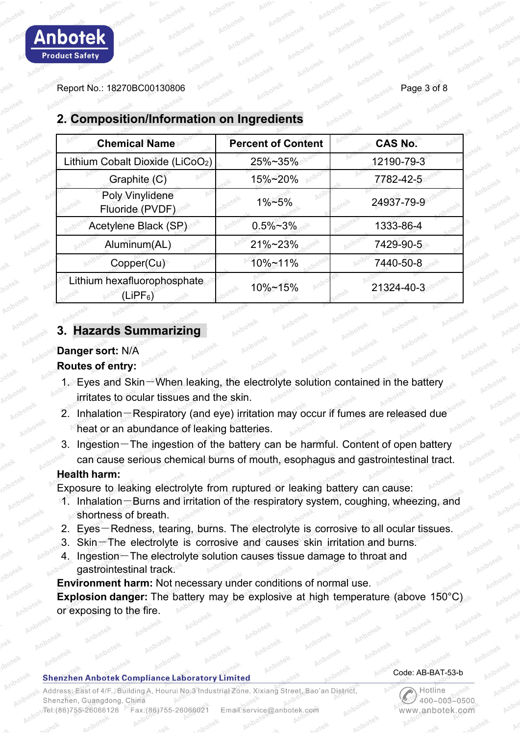| <b>Chemical Name</b>                         | <b>Percent of Content</b> | <b>CAS No.</b> |  |
|----------------------------------------------|---------------------------|----------------|--|
| Lithium Cobalt Dioxide (LiCoO <sub>2</sub> ) | 25%~35%                   | 12190-79-3     |  |
| Graphite (C)                                 | 15%~20%                   | 7782-42-5      |  |
| Poly Vinylidene<br>Fluoride (PVDF)           | 1%~5%                     | 24937-79-9     |  |
| Acetylene Black (SP)                         | $0.5\% - 3\%$             | 1333-86-4      |  |
| Aluminum(AL)                                 | 21%~23%                   | 7429-90-5      |  |
| Copper(Cu)                                   | 10%~11%                   | 7440-50-8      |  |
| Lithium hexafluorophosphate<br>$LIPF_6$      | 10%~15%                   | 21324-40-3     |  |

# **2. Composition/Information on Ingredients**

# **3. Hazards Summarizing**

# **Danger sort:** N/A

#### **Routes of entry:**

- 1. Eyes and Skin-When leaking, the electrolyte solution contained in the battery irritates to ocular tissues and the skin.
- 2. Inhalation-Respiratory (and eye) irritation may occur if fumes are released due heat or an abundance of leaking batteries.
- 3. Ingestion-The ingestion of the battery can be harmful. Content of open battery can cause serious chemical burns of mouth, esophagus and gastrointestinal tract.

# **Health harm:**

Exposure to leaking electrolyte from ruptured or leaking battery can cause:

- 1. Inhalation-Burns and irritation of the respiratory system, coughing, wheezing, and shortness of breath.
- 2. Eyes-Redness, tearing, burns. The electrolyte is corrosive to all ocular tissues.
- 3. Skin-The electrolyte is corrosive and causes skin irritation and burns.
- 4. Ingestion-The electrolyte solution causes tissue damage to throat and gastrointestinal track.

**Environment harm:** Not necessary under conditions of normal use. **Explosion danger:** The battery may be explosive at high temperature (above 150°C) or exposing to the fire.

#### **Shenzhen Anbotek Compliance Laboratory Limited**

#### Code: AB-BAT-53-b

Address: East of 4/F., Building A, Hourui No.3 Industrial Zone, Xixiang Street, Bao'an District Shenzhen, Guangdong, China el:(86)755-26066126 Fax:(86)755-26066021 Email:service@anbotek.com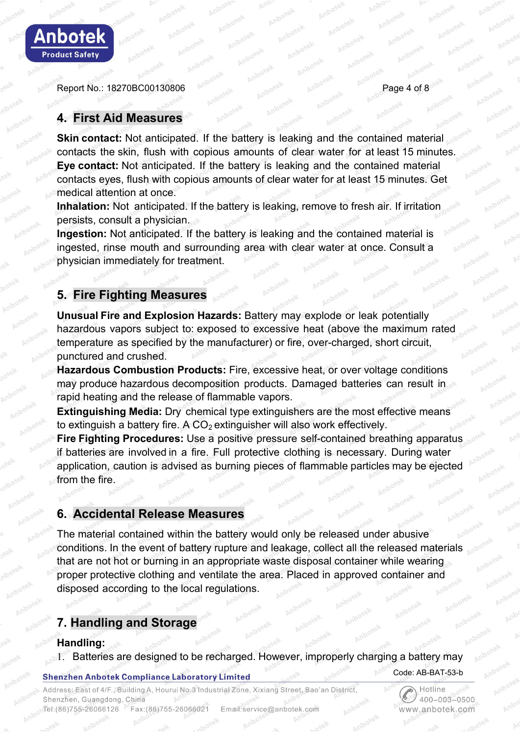

Report No.: 18270BC00130806 Page 4 of 8

# **4. First Aid Measures**

**Skin contact:** Not anticipated. If the battery is leaking and the contained material contacts the skin, flush with copious amounts of clear water for at least 15 minutes. **Eye contact:** Not anticipated. If the battery is leaking and the contained material contacts eyes, flush with copious amounts of clear water for at least 15 minutes. Get medical attention at once.

**Inhalation:** Not anticipated. If the battery is leaking, remove to fresh air. If irritation persists, consult a physician.

**Ingestion:** Not anticipated. If the battery is leaking and the contained material is ingested, rinse mouth and surrounding area with clear water at once. Consult a physician immediately for treatment.

# **5. Fire Fighting Measures**

**Unusual Fire and Explosion Hazards:** Battery may explode or leak potentially hazardous vapors subject to: exposed to excessive heat (above the maximum rated temperature as specified by the manufacturer) or fire, over-charged, short circuit, punctured and crushed.

**Hazardous Combustion Products:** Fire, excessive heat, or over voltage conditions may produce hazardous decomposition products. Damaged batteries can result in rapid heating and the release of flammable vapors.

**Extinguishing Media:** Dry chemical type extinguishers are the most effective means to extinguish a battery fire. A  $CO<sub>2</sub>$  extinguisher will also work effectively.

**Fire Fighting Procedures:** Use a positive pressure self-contained breathing apparatus if batteries are involved in a fire. Full protective clothing is necessary. During water application, caution is advised as burning pieces of flammable particles may be ejected from the fire.

# **6. Accidental Release Measures**

The material contained within the battery would only be released under abusive conditions. In the event of battery rupture and leakage, collect all the released materials that are not hot or burning in an appropriate waste disposal container while wearing proper protective clothing and ventilate the area. Placed in approved container and disposed according to the local regulations.

# **7. Handling and Storage**

#### **Handling:**

1. Batteries are designed to be recharged. However, improperly charging a battery may

#### **Shenzhen Anbotek Compliance Laboratory Limited**

Address: East of 4/F., Building A, Hourui No.3 Industrial Zone, Xixiang Street, Bao'an District, Shenzhen, Guangdong, China Tel:(86)755-26066126 Fax:(86)755-26066021 Email:service@anbotek.com

Hotline  $400 - 003 - 0500$ www.anbotek.com

Code: AB-BAT-53-b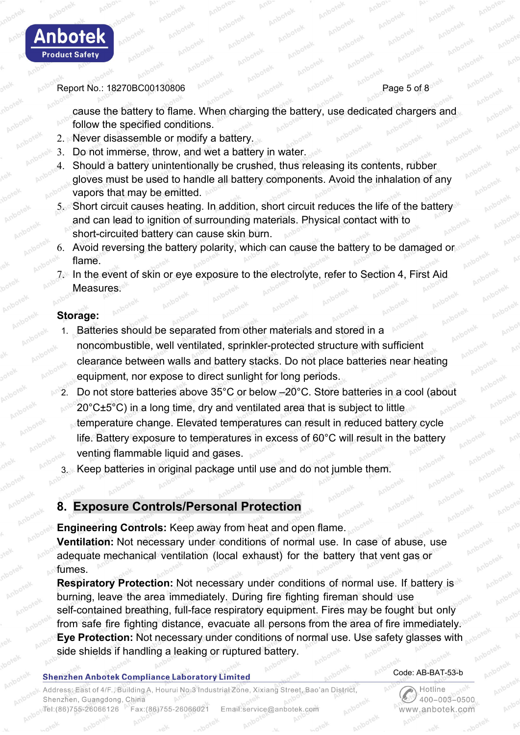

Report No.: 18270BC00130806 Page 5 of 8

cause the battery to flame. When charging the battery, use dedicated chargers and follow the specified conditions.

- 2. Never disassemble or modify a battery.
- 3. Do not immerse, throw, and wet a battery in water.
- 4. Should a battery unintentionally be crushed, thus releasing its contents, rubber gloves must be used to handle all battery components. Avoid the inhalation of any vapors that may be emitted.
- 5. Short circuit causes heating. In addition, short circuit reduces the life of the battery and can lead to ignition of surrounding materials. Physical contact with to short-circuited battery can cause skin burn.
- 6. Avoid reversing the battery polarity, which can cause the battery to be damaged or flame.
- 7. In the event of skin or eye exposure to the electrolyte, refer to Section 4, First Aid Measures.

#### **Storage:**

- 1. Batteries should be separated from other materials and stored in a noncombustible, well ventilated, sprinkler-protected structure with sufficient clearance between walls and battery stacks. Do not place batteries near heating equipment, nor expose to direct sunlight for long periods.
- 2. Do not store batteries above 35°C or below –20°C. Store batteries in a cool (about 20°C±5°C) in a long time, dry and ventilated area that is subject to little temperature change. Elevated temperatures can result in reduced battery cycle life. Battery exposure to temperatures in excess of 60°C will result in the battery venting flammable liquid and gases.
- 3. Keep batteries in original package until use and do not jumble them.

# **8. Exposure Controls/Personal Protection**

**Engineering Controls:** Keep away from heat and open flame. **Ventilation:** Not necessary under conditions of normal use. In case of abuse, use adequate mechanical ventilation (local exhaust) for the battery that ventgas or fumes.

**Respiratory Protection:** Not necessary under conditions of normal use. If battery is burning, leave the area immediately. During fire fighting fireman should use self-contained breathing, full-face respiratory equipment. Fires may be fought but only from safe fire fighting distance, evacuate all persons from the area of fire immediately. **Eye Protection:** Not necessary under conditions of normal use. Use safety glasses with side shields if handling a leaking or ruptured battery.

#### **Shenzhen Anbotek Compliance Laboratory Limited**

#### Code: AB-BAT-53-b

،<br>Address: East of 4/F., Building A, Hourui No.3 Industrial Zone, Xixiang Street, Bao'an District Shenzhen, Guangdong, China Tel:(86)755-26066126 Fax:(86)755-26066021 Email:service@anbotek.com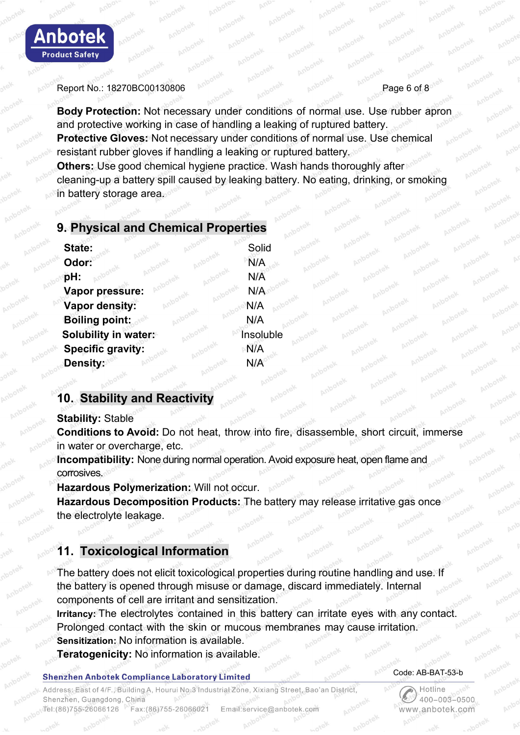

#### Report No.: 18270BC00130806 Page 1 and 1988 Page 6 of 8

**Body Protection:** Not necessary under conditions of normal use. Use rubber apron and protective working in case of handling a leaking of ruptured battery. **Protective Gloves:** Not necessary under conditions of normal use. Use chemical resistant rubber gloves if handling a leaking or ruptured battery. **Others:** Use good chemical hygiene practice. Wash hands thoroughly after cleaning-up a battery spill caused by leaking battery. No eating, drinking, or smoking in battery storage area.

### **9. Physical and Chemical Properties**

| State:                   | Solid     |
|--------------------------|-----------|
| Odor:                    | N/A       |
| pH:                      | N/A       |
| Vapor pressure:          | N/A       |
| Vapor density:           | N/A       |
| <b>Boiling point:</b>    | N/A       |
| Solubility in water:     | Insoluble |
| <b>Specific gravity:</b> | N/A       |
| Density:                 | N/A       |
|                          |           |

# **10. Stability and Reactivity**

#### **Stability:** Stable

**Conditions to Avoid:** Do not heat, throw into fire, disassemble, short circuit, immerse in water or overcharge, etc.

**Incompatibility:** None during normal operation. Avoid exposure heat, open flame and corrosives.

**Hazardous Polymerization:** Will not occur.

**Hazardous Decomposition Products:** The battery may release irritative gas once the electrolyte leakage.

# **11. Toxicological Information**

The battery does not elicit toxicological properties during routine handling and use. If the battery is opened through misuse or damage, discard immediately. Internal components of cell are irritant and sensitization.

**Irritancy:** The electrolytes contained in this battery can irritate eyes with any contact. Prolonged contact with the skin or mucous membranes may cause irritation. **Sensitization:** No information is available.

**Teratogenicity:** No information is available.

#### **Shenzhen Anbotek Compliance Laboratory Limited**

ddress: East of 4/F., Building A, Hourui No.3 Industrial Zone, Xixiang Street, Bao'an District, Shenzhen, Guangdong, China el:(86)755-26066126 Fax:(86)755-26066021 Email:service@anbotek.com

Code: AB-BAT-53-b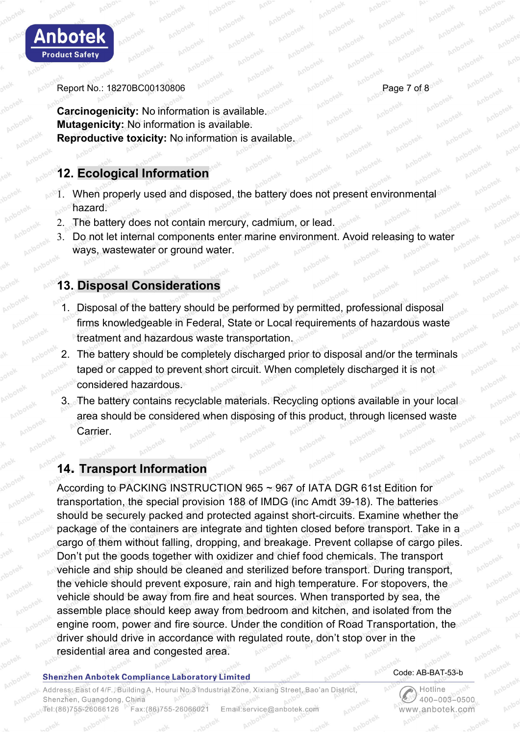

Report No.: 18270BC00130806 Page 7 of 8

**Carcinogenicity:** No information is available. **Mutagenicity:** No information is available. **Reproductive toxicity:** No information is available.

# **12. Ecological Information**

- 1. When properly used and disposed, the battery does not present environmental hazard.
- 2. The battery does not contain mercury, cadmium, or lead.
- 3. Do not let internal components enter marine environment. Avoid releasing to water ways, wastewater or ground water.

# **13. Disposal Considerations**

- 1. Disposal of the battery should be performed by permitted, professional disposal firms knowledgeable in Federal, State or Local requirements of hazardous waste treatment and hazardous waste transportation.
- 2. The battery should be completely discharged prior to disposal and/or the terminals taped or capped to prevent short circuit. When completely discharged it is not considered hazardous.
- 3. The battery contains recyclable materials. Recycling options available in your local area should be considered when disposing of this product, through licensed waste Carrier.

# **14. Transport Information**

According to PACKING INSTRUCTION 965 ~ 967 of IATA DGR 61st Edition for transportation, the special provision 188 of IMDG (inc Amdt 39-18). The batteries should be securely packed and protected against short-circuits. Examine whether the package of the containers are integrate and tighten closed before transport. Take in a cargo of them without falling, dropping, and breakage. Prevent collapse of cargo piles. Don't put the goods together with oxidizer and chief food chemicals. The transport vehicle and ship should be cleaned and sterilized before transport. During transport, the vehicle should prevent exposure, rain and high temperature. For stopovers, the vehicle should be away from fire and heat sources. When transported by sea, the assemble place should keep away from bedroom and kitchen, and isolated from the engine room, power and fire source. Under the condition of Road Transportation, the driver should drive in accordance with regulated route, don't stop over in the residential area and congested area.

#### **Shenzhen Anbotek Compliance Laboratory Limited**

#### Address: East of 4/F., Building A, Hourui No.3 Industrial Zone, Xixiang Street, Bao'an District, Shenzhen, Guangdong, China Tel:(86)755-26066126 Fax:(86)755-26066021 Email:service@anbotek.com

#### Code: AB-BAT-53-b